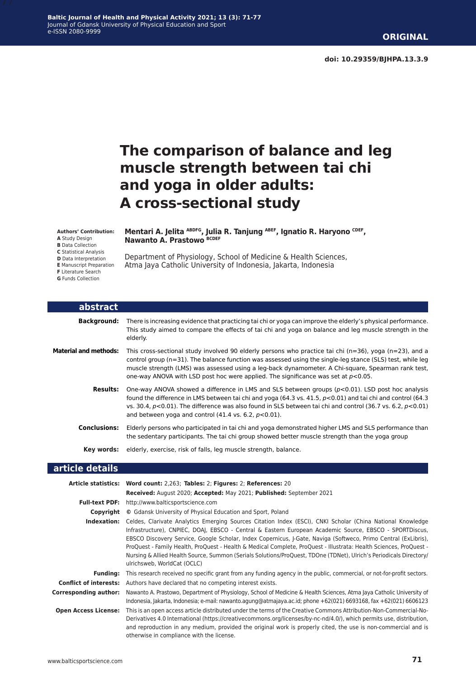# **The comparison of balance and leg muscle strength between tai chi and yoga in older adults: A cross-sectional study**

**Authors' Contribution: A** Study Design **B** Data Collection **C** Statistical Analysis **D** Data Interpretation **E** Manuscript Preparation **F** Literature Search **G** Funds Collection

**Mentari A. Jelita ABDFG, Julia R. Tanjung ABEF, Ignatio R. Haryono CDEF, Nawanto A. Prastowo BCDEF** 

Department of Physiology, School of Medicine & Health Sciences, Atma Jaya Catholic University of Indonesia, Jakarta, Indonesia

| <b>Background:</b><br>elderly.<br>Material and methods:<br>one-way ANOVA with LSD post hoc were applied. The significance was set at $p<0.05$ .<br><b>Results:</b><br>and between yoga and control $(41.4 \text{ vs. } 6.2, p<0.01)$ .<br><b>Conclusions:</b><br>the sedentary participants. The tai chi group showed better muscle strength than the yoga group<br>elderly, exercise, risk of falls, leg muscle strength, balance.<br>Kev words: | abstract |                                                                                                                                                                                                                                                                                                                                             |
|---------------------------------------------------------------------------------------------------------------------------------------------------------------------------------------------------------------------------------------------------------------------------------------------------------------------------------------------------------------------------------------------------------------------------------------------------|----------|---------------------------------------------------------------------------------------------------------------------------------------------------------------------------------------------------------------------------------------------------------------------------------------------------------------------------------------------|
|                                                                                                                                                                                                                                                                                                                                                                                                                                                   |          | There is increasing evidence that practicing tai chi or yoga can improve the elderly's physical performance.<br>This study aimed to compare the effects of tai chi and yoga on balance and leg muscle strength in the                                                                                                                       |
|                                                                                                                                                                                                                                                                                                                                                                                                                                                   |          | This cross-sectional study involved 90 elderly persons who practice tai chi ( $n=36$ ), yoga ( $n=23$ ), and a<br>control group ( $n=31$ ). The balance function was assessed using the single-leg stance (SLS) test, while leg<br>muscle strength (LMS) was assessed using a leg-back dynamometer. A Chi-square, Spearman rank test,       |
|                                                                                                                                                                                                                                                                                                                                                                                                                                                   |          | One-way ANOVA showed a difference in LMS and SLS between groups $(p<0.01)$ . LSD post hoc analysis<br>found the difference in LMS between tai chi and yoga (64.3 vs. 41.5, $p<0.01$ ) and tai chi and control (64.3<br>vs. 30.4, $p < 0.01$ ). The difference was also found in SLS between tai chi and control (36.7 vs. 6.2, $p < 0.01$ ) |
|                                                                                                                                                                                                                                                                                                                                                                                                                                                   |          | Elderly persons who participated in tai chi and yoga demonstrated higher LMS and SLS performance than                                                                                                                                                                                                                                       |
|                                                                                                                                                                                                                                                                                                                                                                                                                                                   |          |                                                                                                                                                                                                                                                                                                                                             |

#### **article details**

|                               | Article statistics: Word count: 2,263; Tables: 2; Figures: 2; References: 20                                                                                                                                                                                                                                                                                                                                                                                                                                                                                                                                       |  |  |  |
|-------------------------------|--------------------------------------------------------------------------------------------------------------------------------------------------------------------------------------------------------------------------------------------------------------------------------------------------------------------------------------------------------------------------------------------------------------------------------------------------------------------------------------------------------------------------------------------------------------------------------------------------------------------|--|--|--|
|                               | Received: August 2020; Accepted: May 2021; Published: September 2021                                                                                                                                                                                                                                                                                                                                                                                                                                                                                                                                               |  |  |  |
| <b>Full-text PDF:</b>         | http://www.balticsportscience.com                                                                                                                                                                                                                                                                                                                                                                                                                                                                                                                                                                                  |  |  |  |
| Copyright                     | © Gdansk University of Physical Education and Sport, Poland                                                                                                                                                                                                                                                                                                                                                                                                                                                                                                                                                        |  |  |  |
| Indexation:                   | Celdes, Clarivate Analytics Emerging Sources Citation Index (ESCI), CNKI Scholar (China National Knowledge<br>Infrastructure), CNPIEC, DOAJ, EBSCO - Central & Eastern European Academic Source, EBSCO - SPORTDiscus,<br>EBSCO Discovery Service, Google Scholar, Index Copernicus, J-Gate, Naviga (Softweco, Primo Central (ExLibris),<br>ProQuest - Family Health, ProQuest - Health & Medical Complete, ProQuest - Illustrata: Health Sciences, ProQuest -<br>Nursing & Allied Health Source, Summon (Serials Solutions/ProQuest, TDOne (TDNet), Ulrich's Periodicals Directory/<br>ulrichsweb, WorldCat (OCLC) |  |  |  |
| <b>Funding:</b>               | This research received no specific grant from any funding agency in the public, commercial, or not-for-profit sectors.                                                                                                                                                                                                                                                                                                                                                                                                                                                                                             |  |  |  |
| <b>Conflict of interests:</b> | Authors have declared that no competing interest exists.                                                                                                                                                                                                                                                                                                                                                                                                                                                                                                                                                           |  |  |  |
| Corresponding author:         | Nawanto A. Prastowo, Department of Physiology, School of Medicine & Health Sciences, Atma Jaya Catholic University of<br>Indonesia, Jakarta, Indonesia; e-mail: nawanto.agung@atmajaya.ac.id; phone +62(021) 6693168, fax +62(021) 6606123                                                                                                                                                                                                                                                                                                                                                                         |  |  |  |
| <b>Open Access License:</b>   | This is an open access article distributed under the terms of the Creative Commons Attribution-Non-Commercial-No-<br>Derivatives 4.0 International (https://creativecommons.org/licenses/by-nc-nd/4.0/), which permits use, distribution,<br>and reproduction in any medium, provided the original work is properly cited, the use is non-commercial and is<br>otherwise in compliance with the license.                                                                                                                                                                                                           |  |  |  |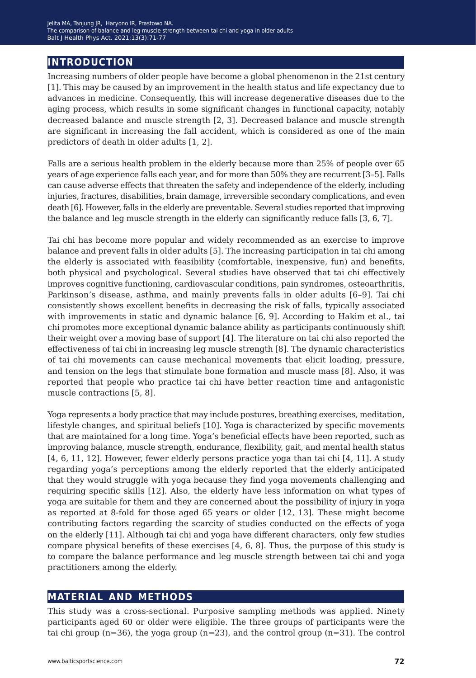## **introduction**

Increasing numbers of older people have become a global phenomenon in the 21st century [1]. This may be caused by an improvement in the health status and life expectancy due to advances in medicine. Consequently, this will increase degenerative diseases due to the aging process, which results in some significant changes in functional capacity, notably decreased balance and muscle strength [2, 3]. Decreased balance and muscle strength are significant in increasing the fall accident, which is considered as one of the main predictors of death in older adults [1, 2].

Falls are a serious health problem in the elderly because more than 25% of people over 65 years of age experience falls each year, and for more than 50% they are recurrent [3–5]. Falls can cause adverse effects that threaten the safety and independence of the elderly, including injuries, fractures, disabilities, brain damage, irreversible secondary complications, and even death [6]. However, falls in the elderly are preventable. Several studies reported that improving the balance and leg muscle strength in the elderly can significantly reduce falls [3, 6, 7].

Tai chi has become more popular and widely recommended as an exercise to improve balance and prevent falls in older adults [5]. The increasing participation in tai chi among the elderly is associated with feasibility (comfortable, inexpensive, fun) and benefits, both physical and psychological. Several studies have observed that tai chi effectively improves cognitive functioning, cardiovascular conditions, pain syndromes, osteoarthritis, Parkinson's disease, asthma, and mainly prevents falls in older adults [6–9]. Tai chi consistently shows excellent benefits in decreasing the risk of falls, typically associated with improvements in static and dynamic balance [6, 9]. According to Hakim et al., tai chi promotes more exceptional dynamic balance ability as participants continuously shift their weight over a moving base of support [4]. The literature on tai chi also reported the effectiveness of tai chi in increasing leg muscle strength [8]. The dynamic characteristics of tai chi movements can cause mechanical movements that elicit loading, pressure, and tension on the legs that stimulate bone formation and muscle mass [8]. Also, it was reported that people who practice tai chi have better reaction time and antagonistic muscle contractions [5, 8].

Yoga represents a body practice that may include postures, breathing exercises, meditation, lifestyle changes, and spiritual beliefs [10]. Yoga is characterized by specific movements that are maintained for a long time. Yoga's beneficial effects have been reported, such as improving balance, muscle strength, endurance, flexibility, gait, and mental health status [4, 6, 11, 12]. However, fewer elderly persons practice yoga than tai chi [4, 11]. A study regarding yoga's perceptions among the elderly reported that the elderly anticipated that they would struggle with yoga because they find yoga movements challenging and requiring specific skills [12]. Also, the elderly have less information on what types of yoga are suitable for them and they are concerned about the possibility of injury in yoga as reported at 8-fold for those aged 65 years or older [12, 13]. These might become contributing factors regarding the scarcity of studies conducted on the effects of yoga on the elderly [11]. Although tai chi and yoga have different characters, only few studies compare physical benefits of these exercises [4, 6, 8]. Thus, the purpose of this study is to compare the balance performance and leg muscle strength between tai chi and yoga practitioners among the elderly.

## **material and methods**

This study was a cross-sectional. Purposive sampling methods was applied. Ninety participants aged 60 or older were eligible. The three groups of participants were the tai chi group ( $n=36$ ), the yoga group ( $n=23$ ), and the control group ( $n=31$ ). The control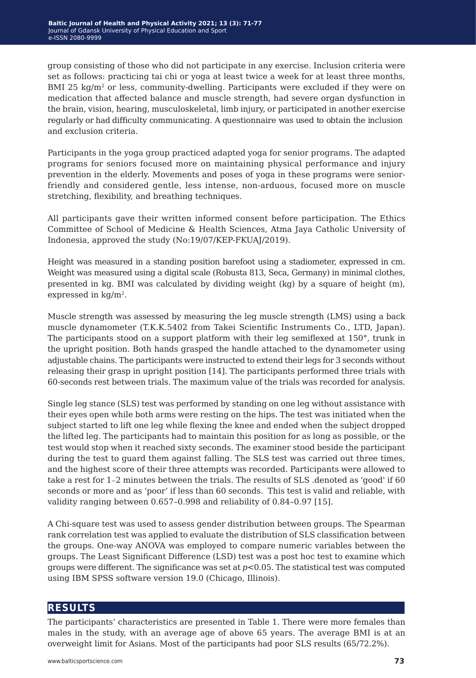group consisting of those who did not participate in any exercise. Inclusion criteria were set as follows: practicing tai chi or yoga at least twice a week for at least three months, BMI 25 kg/m<sup>2</sup> or less, community-dwelling. Participants were excluded if they were on medication that affected balance and muscle strength, had severe organ dysfunction in the brain, vision, hearing, musculoskeletal, limb injury, or participated in another exercise regularly or had difficulty communicating. A questionnaire was used to obtain the inclusion and exclusion criteria.

Participants in the yoga group practiced adapted yoga for senior programs. The adapted programs for seniors focused more on maintaining physical performance and injury prevention in the elderly. Movements and poses of yoga in these programs were seniorfriendly and considered gentle, less intense, non-arduous, focused more on muscle stretching, flexibility, and breathing techniques.

All participants gave their written informed consent before participation. The Ethics Committee of School of Medicine & Health Sciences, Atma Jaya Catholic University of Indonesia, approved the study (No:19/07/KEP-FKUAJ/2019).

Height was measured in a standing position barefoot using a stadiometer, expressed in cm. Weight was measured using a digital scale (Robusta 813, Seca, Germany) in minimal clothes, presented in kg. BMI was calculated by dividing weight (kg) by a square of height (m), expressed in kg/m2.

Muscle strength was assessed by measuring the leg muscle strength (LMS) using a back muscle dynamometer (T.K.K.5402 from Takei Scientific Instruments Co., LTD, Japan). The participants stood on a support platform with their leg semiflexed at 150°, trunk in the upright position. Both hands grasped the handle attached to the dynamometer using adjustable chains. The participants were instructed to extend their legs for 3 seconds without releasing their grasp in upright position [14]. The participants performed three trials with 60-seconds rest between trials. The maximum value of the trials was recorded for analysis.

Single leg stance (SLS) test was performed by standing on one leg without assistance with their eyes open while both arms were resting on the hips. The test was initiated when the subject started to lift one leg while flexing the knee and ended when the subject dropped the lifted leg. The participants had to maintain this position for as long as possible, or the test would stop when it reached sixty seconds. The examiner stood beside the participant during the test to guard them against falling. The SLS test was carried out three times, and the highest score of their three attempts was recorded. Participants were allowed to take a rest for 1–2 minutes between the trials. The results of SLS .denoted as 'good' if 60 seconds or more and as 'poor' if less than 60 seconds. This test is valid and reliable, with validity ranging between 0.657–0.998 and reliability of 0.84–0.97 [15].

A Chi-square test was used to assess gender distribution between groups. The Spearman rank correlation test was applied to evaluate the distribution of SLS classification between the groups. One-way ANOVA was employed to compare numeric variables between the groups. The Least Significant Difference (LSD) test was a post hoc test to examine which groups were different. The significance was set at *p*<0.05. The statistical test was computed using IBM SPSS software version 19.0 (Chicago, Illinois).

### **results**

The participants' characteristics are presented in Table 1. There were more females than males in the study, with an average age of above 65 years. The average BMI is at an overweight limit for Asians. Most of the participants had poor SLS results (65/72.2%).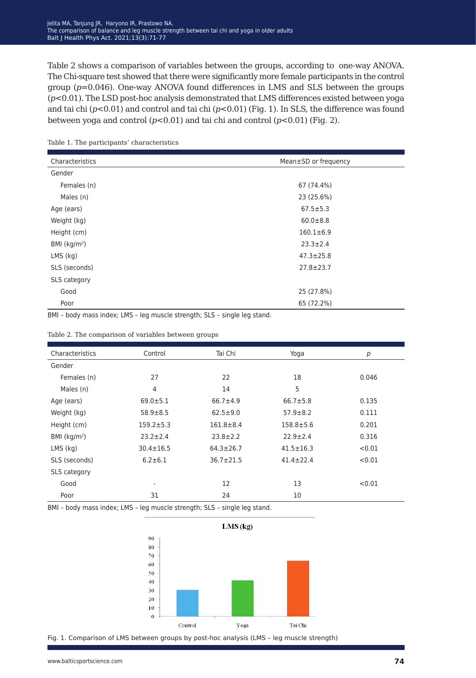Table 2 shows a comparison of variables between the groups, according to one-way ANOVA. The Chi-square test showed that there were significantly more female participants in the control group (*p*=0.046). One-way ANOVA found differences in LMS and SLS between the groups (*p*<0.01). The LSD post-hoc analysis demonstrated that LMS differences existed between yoga and tai chi  $(p<0.01)$  and control and tai chi  $(p<0.01)$  (Fig. 1). In SLS, the difference was found between yoga and control  $(p<0.01)$  and tai chi and control  $(p<0.01)$  (Fig. 2).

| Characteristics | Mean±SD or frequency |
|-----------------|----------------------|
| Gender          |                      |
| Females (n)     | 67 (74.4%)           |
| Males (n)       | 23 (25.6%)           |
| Age (ears)      | $67.5 \pm 5.3$       |
| Weight (kg)     | $60.0 + 8.8$         |
| Height (cm)     | $160.1 \pm 6.9$      |
| BMI $(kq/m2)$   | $23.3 \pm 2.4$       |
| $LMS$ (kg)      | $47.3 \pm 25.8$      |
| SLS (seconds)   | $27.8 \pm 23.7$      |
| SLS category    |                      |
| Good            | 25 (27.8%)           |
| Poor            | 65 (72.2%)           |

Table 1. The participants' characteristics

BMI – body mass index; LMS – leg muscle strength; SLS – single leg stand.

| Table 2. The comparison of variables between groups |  |  |  |
|-----------------------------------------------------|--|--|--|
|-----------------------------------------------------|--|--|--|

| Characteristics | Control                           | Tai Chi         | Yoga            | р      |
|-----------------|-----------------------------------|-----------------|-----------------|--------|
| Gender          |                                   |                 |                 |        |
| Females (n)     | 27                                | 22              | 18              | 0.046  |
| Males (n)       | 4                                 | 14              | 5               |        |
| Age (ears)      | $69.0 \pm 5.1$                    | $66.7 + 4.9$    | $66.7 \pm 5.8$  | 0.135  |
| Weight (kg)     | $58.9 \pm 8.5$                    | $62.5 \pm 9.0$  | $57.9 \pm 8.2$  | 0.111  |
| Height (cm)     | $159.2 \pm 5.3$                   | $161.8 \pm 8.4$ | $158.8 \pm 5.6$ | 0.201  |
| BMI ( $kg/m2$ ) | $23.2 \pm 2.4$                    | $23.8 \pm 2.2$  | $22.9 \pm 2.4$  | 0.316  |
| $LMS$ (kg)      | $30.4 \pm 16.5$                   | $64.3 \pm 26.7$ | $41.5 \pm 16.3$ | < 0.01 |
| SLS (seconds)   | $6.2 \pm 6.1$                     | $36.7 \pm 21.5$ | $41.4 \pm 22.4$ | < 0.01 |
| SLS category    |                                   |                 |                 |        |
| Good            | ۰                                 | 12              | 13              | < 0.01 |
| Poor            | 31                                | 24              | 10              |        |
|                 | <b>PMILII</b> INCL III HOLD II LI |                 |                 |        |

BMI – body mass index; LMS – leg muscle strength; SLS – single leg stand.



Fig. 1. Comparison of LMS between groups by post-hoc analysis (LMS – leg muscle strength)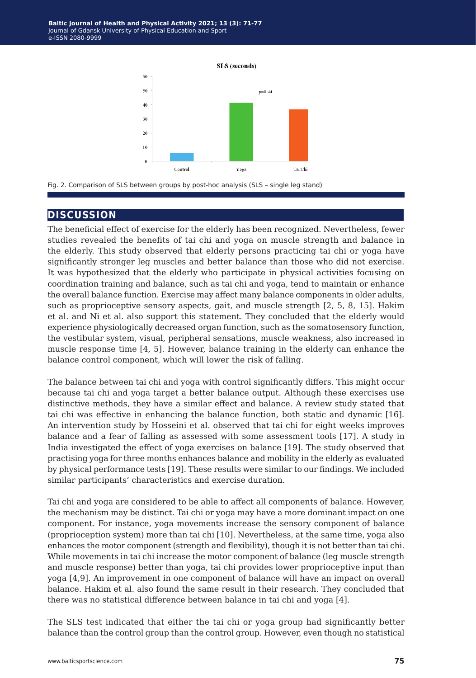

Fig. 2. Comparison of SLS between groups by post-hoc analysis (SLS – single leg stand)

### **discussion**

The beneficial effect of exercise for the elderly has been recognized. Nevertheless, fewer studies revealed the benefits of tai chi and yoga on muscle strength and balance in the elderly. This study observed that elderly persons practicing tai chi or yoga have significantly stronger leg muscles and better balance than those who did not exercise. It was hypothesized that the elderly who participate in physical activities focusing on coordination training and balance, such as tai chi and yoga, tend to maintain or enhance the overall balance function. Exercise may affect many balance components in older adults, such as proprioceptive sensory aspects, gait, and muscle strength [2, 5, 8, 15]. Hakim et al. and Ni et al. also support this statement. They concluded that the elderly would experience physiologically decreased organ function, such as the somatosensory function, the vestibular system, visual, peripheral sensations, muscle weakness, also increased in muscle response time [4, 5]. However, balance training in the elderly can enhance the balance control component, which will lower the risk of falling.

The balance between tai chi and yoga with control significantly differs. This might occur because tai chi and yoga target a better balance output. Although these exercises use distinctive methods, they have a similar effect and balance. A review study stated that tai chi was effective in enhancing the balance function, both static and dynamic [16]. An intervention study by Hosseini et al. observed that tai chi for eight weeks improves balance and a fear of falling as assessed with some assessment tools [17]. A study in India investigated the effect of yoga exercises on balance [19]. The study observed that practising yoga for three months enhances balance and mobility in the elderly as evaluated by physical performance tests [19]. These results were similar to our findings. We included similar participants' characteristics and exercise duration.

Tai chi and yoga are considered to be able to affect all components of balance. However, the mechanism may be distinct. Tai chi or yoga may have a more dominant impact on one component. For instance, yoga movements increase the sensory component of balance (proprioception system) more than tai chi [10]. Nevertheless, at the same time, yoga also enhances the motor component (strength and flexibility), though it is not better than tai chi. While movements in tai chi increase the motor component of balance (leg muscle strength and muscle response) better than yoga, tai chi provides lower proprioceptive input than yoga [4,9]. An improvement in one component of balance will have an impact on overall balance. Hakim et al. also found the same result in their research. They concluded that there was no statistical difference between balance in tai chi and yoga [4].

The SLS test indicated that either the tai chi or yoga group had significantly better balance than the control group than the control group. However, even though no statistical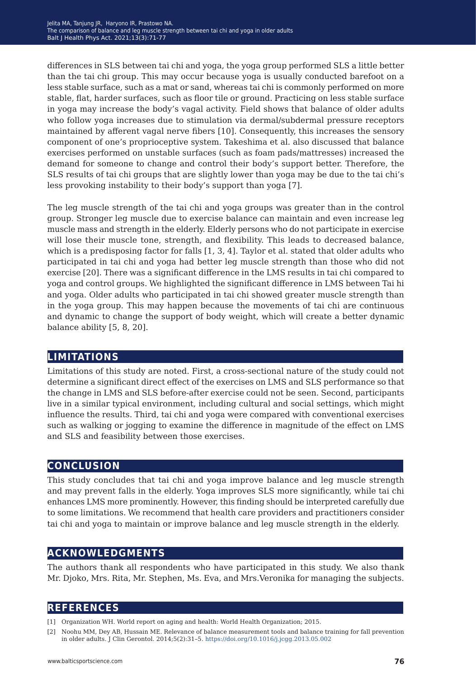differences in SLS between tai chi and yoga, the yoga group performed SLS a little better than the tai chi group. This may occur because yoga is usually conducted barefoot on a less stable surface, such as a mat or sand, whereas tai chi is commonly performed on more stable, flat, harder surfaces, such as floor tile or ground. Practicing on less stable surface in yoga may increase the body's vagal activity. Field shows that balance of older adults who follow yoga increases due to stimulation via dermal/subdermal pressure receptors maintained by afferent vagal nerve fibers [10]. Consequently, this increases the sensory component of one's proprioceptive system. Takeshima et al. also discussed that balance exercises performed on unstable surfaces (such as foam pads/mattresses) increased the demand for someone to change and control their body's support better. Therefore, the SLS results of tai chi groups that are slightly lower than yoga may be due to the tai chi's less provoking instability to their body's support than yoga [7].

The leg muscle strength of the tai chi and yoga groups was greater than in the control group. Stronger leg muscle due to exercise balance can maintain and even increase leg muscle mass and strength in the elderly. Elderly persons who do not participate in exercise will lose their muscle tone, strength, and flexibility. This leads to decreased balance, which is a predisposing factor for falls  $[1, 3, 4]$ . Taylor et al. stated that older adults who participated in tai chi and yoga had better leg muscle strength than those who did not exercise [20]. There was a significant difference in the LMS results in tai chi compared to yoga and control groups. We highlighted the significant difference in LMS between Tai hi and yoga. Older adults who participated in tai chi showed greater muscle strength than in the yoga group. This may happen because the movements of tai chi are continuous and dynamic to change the support of body weight, which will create a better dynamic balance ability [5, 8, 20].

### **limitations**

Limitations of this study are noted. First, a cross-sectional nature of the study could not determine a significant direct effect of the exercises on LMS and SLS performance so that the change in LMS and SLS before-after exercise could not be seen. Second, participants live in a similar typical environment, including cultural and social settings, which might influence the results. Third, tai chi and yoga were compared with conventional exercises such as walking or jogging to examine the difference in magnitude of the effect on LMS and SLS and feasibility between those exercises.

### **conclusion**

This study concludes that tai chi and yoga improve balance and leg muscle strength and may prevent falls in the elderly. Yoga improves SLS more significantly, while tai chi enhances LMS more prominently. However, this finding should be interpreted carefully due to some limitations. We recommend that health care providers and practitioners consider tai chi and yoga to maintain or improve balance and leg muscle strength in the elderly.

## **acknowledgments**

The authors thank all respondents who have participated in this study. We also thank Mr. Djoko, Mrs. Rita, Mr. Stephen, Ms. Eva, and Mrs.Veronika for managing the subjects.

## **references**

<sup>[1]</sup> Organization WH. World report on aging and health: World Health Organization; 2015.

<sup>[2]</sup> Noohu MM, Dey AB, Hussain ME. Relevance of balance measurement tools and balance training for fall prevention in older adults. J Clin Gerontol. 2014;5(2):31–5. <https://doi.org/10.1016/j.jcgg.2013.05.002>